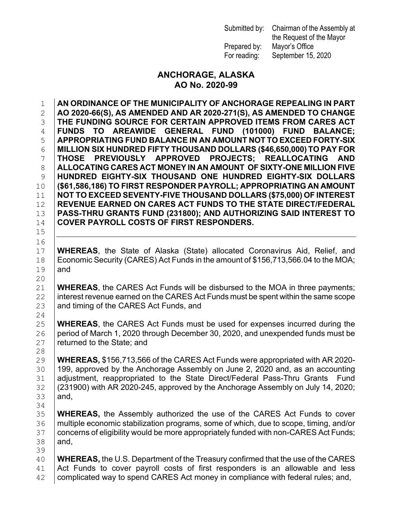Prepared by: Mayor's Office

Submitted by: Chairman of the Assembly at the Request of the Mayor For reading: September 15, 2020

#### **ANCHORAGE, ALASKA AO No. 2020-99**

 **AN ORDINANCE OF THE MUNICIPALITY OF ANCHORAGE REPEALING IN PART AO 2020-66(S), AS AMENDED AND AR 2020-271(S), AS AMENDED TO CHANGE THE FUNDING SOURCE FOR CERTAIN APPROVED ITEMS FROM CARES ACT FUNDS TO AREAWIDE GENERAL FUND (101000) FUND BALANCE; APPROPRIATING FUND BALANCE IN AN AMOUNT NOT TO EXCEED FORTY-SIX MILLION SIX HUNDRED FIFTY THOUSAND DOLLARS (\$46,650,000) TO PAY FOR | THOSE PREVIOUSLY APPROVED PROJECTS; REALLOCATING<br>8 | ALLOCATING CARES ACT MONEY IN AN AMOUNT OF SIXTY-ONE MILLIOI ALLOCATING CARES ACT MONEY IN AN AMOUNT OF SIXTY-ONE MILLION FIVE HUNDRED EIGHTY-SIX THOUSAND ONE HUNDRED EIGHTY-SIX DOLLARS (\$61,586,186) TO FIRST RESPONDER PAYROLL; APPROPRIATING AN AMOUNT NOT TO EXCEED SEVENTY-FIVE THOUSAND DOLLARS (\$75,000) OF INTEREST REVENUE EARNED ON CARES ACT FUNDS TO THE STATE DIRECT/FEDERAL PASS-THRU GRANTS FUND (231800); AND AUTHORIZING SAID INTEREST TO COVER PAYROLL COSTS OF FIRST RESPONDERS.**

17 **WHEREAS**, the State of Alaska (State) allocated Coronavirus Aid, Relief, and<br>18 Economic Security (CARES) Act Funds in the amount of \$156,713,566.04 to the MOA; 18 Economic Security (CARES) Act Funds in the amount of \$156,713,566.04 to the MOA;<br>19 And and

15

16<br>17

20<br>21

 $\frac{24}{25}$ 

28<br>29

34<br>35

21 **WHEREAS**, the CARES Act Funds will be disbursed to the MOA in three payments;<br>22 interest revenue earned on the CARES Act Funds must be spent within the same scope 22 interest revenue earned on the CARES Act Funds must be spent within the same scope  $23$  and timing of the CARES Act Funds, and and timing of the CARES Act Funds, and

25 **WHEREAS**, the CARES Act Funds must be used for expenses incurred during the 26 **period of March 1, 2020 through December 30, 2020, and unexpended funds must be** 26 period of March 1, 2020 through December 30, 2020, and unexpended funds must be  $27$  returned to the State; and returned to the State; and

29 **WHEREAS,** \$156,713,566 of the CARES Act Funds were appropriated with AR 2020- 30 199, approved by the Anchorage Assembly on June 2, 2020 and, as an accounting<br>31 adjustment, reappropriated to the State Direct/Federal Pass-Thru Grants Fund 31 | adjustment, reappropriated to the State Direct/Federal Pass-Thru Grants Fund<br>32 | (231900) with AR 2020-245, approved by the Anchorage Assembly on July 14, 2020; 32 |(231900) with AR 2020-245, approved by the Anchorage Assembly on July 14, 2020;<br>33 |and, and,

35 **WHEREAS,** the Assembly authorized the use of the CARES Act Funds to cover<br>36 multiple economic stabilization programs, some of which, due to scope, timing, and/or 36 | multiple economic stabilization programs, some of which, due to scope, timing, and/or<br>37 | concerns of eligibility would be more appropriately funded with non-CARES Act Funds; 37 concerns of eligibility would be more appropriately funded with non-CARES Act Funds;<br>38 and, and,

39<br>40 40 **WHEREAS,** the U.S. Department of the Treasury confirmed that the use of the CARES<br>41 Act Funds to cover payroll costs of first responders is an allowable and less  $41$  Act Funds to cover payroll costs of first responders is an allowable and less  $42$  complicated way to spend CARES Act money in compliance with federal rules; and, complicated way to spend CARES Act money in compliance with federal rules; and,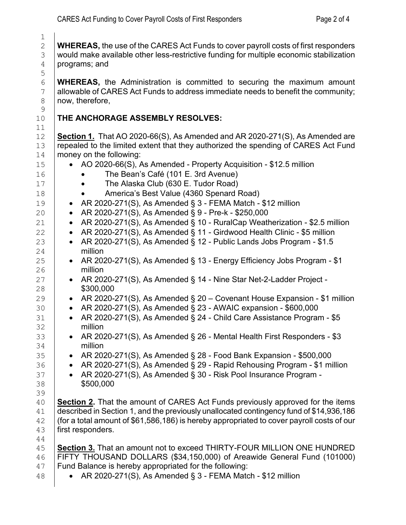2 **WHEREAS,** the use of the CARES Act Funds to cover payroll costs of first responders<br>3 vould make available other less-restrictive funding for multiple economic stabilization  $\begin{array}{c|c} 3 & \text{would make available other less-restrictive funding for multiple economic stabilization} \\ \hline 4 & \text{programs; and} \end{array}$ programs; and

**WHEREAS,** the Administration is committed to securing the maximum amount and allowable of CARES Act Funds to address immediate needs to benefit the community; 7 allowable of CARES Act Funds to address immediate needs to benefit the community;<br>8 now, therefore, now, therefore,

### **THE ANCHORAGE ASSEMBLY RESOLVES:**

 $\frac{1}{2}$ 

 $\begin{array}{c} 9 \\ 10 \end{array}$ 

11<br>12

12 **Section 1.** That AO 2020-66(S), As Amended and AR 2020-271(S), As Amended are <br>13 **Prepealed to the limited extent that they authorized the spending of CARES Act Fund** 13 repealed to the limited extent that they authorized the spending of CARES Act Fund money on the following:

| 14       | money on the following:                                                                                                                                                           |  |  |  |
|----------|-----------------------------------------------------------------------------------------------------------------------------------------------------------------------------------|--|--|--|
| 15       | • AO 2020-66(S), As Amended - Property Acquisition - \$12.5 million                                                                                                               |  |  |  |
| 16       | The Bean's Café (101 E. 3rd Avenue)                                                                                                                                               |  |  |  |
| 17       | The Alaska Club (630 E. Tudor Road)                                                                                                                                               |  |  |  |
| 18       | America's Best Value (4360 Spenard Road)                                                                                                                                          |  |  |  |
| 19       | AR 2020-271(S), As Amended § 3 - FEMA Match - \$12 million<br>$\bullet$                                                                                                           |  |  |  |
| 20       | AR 2020-271(S), As Amended § 9 - Pre-k - \$250,000<br>$\bullet$                                                                                                                   |  |  |  |
| 21       | AR 2020-271(S), As Amended § 10 - RuralCap Weatherization - \$2.5 million<br>$\bullet$                                                                                            |  |  |  |
| 22       | AR 2020-271(S), As Amended § 11 - Girdwood Health Clinic - \$5 million<br>$\bullet$                                                                                               |  |  |  |
| 23       | AR 2020-271(S), As Amended § 12 - Public Lands Jobs Program - \$1.5<br>$\bullet$                                                                                                  |  |  |  |
| 24       | million                                                                                                                                                                           |  |  |  |
| 25<br>26 | AR 2020-271(S), As Amended § 13 - Energy Efficiency Jobs Program - \$1<br>$\bullet$<br>million                                                                                    |  |  |  |
| 27       | AR 2020-271(S), As Amended § 14 - Nine Star Net-2-Ladder Project -                                                                                                                |  |  |  |
| 28       | \$300,000                                                                                                                                                                         |  |  |  |
| 29       | AR 2020-271(S), As Amended § 20 – Covenant House Expansion - \$1 million<br>$\bullet$                                                                                             |  |  |  |
| 30       | AR 2020-271(S), As Amended § 23 - AWAIC expansion - \$600,000<br>$\bullet$                                                                                                        |  |  |  |
| 31       | AR 2020-271(S), As Amended § 24 - Child Care Assistance Program - \$5<br>$\bullet$                                                                                                |  |  |  |
| 32       | million                                                                                                                                                                           |  |  |  |
| 33       | AR 2020-271(S), As Amended § 26 - Mental Health First Responders - \$3<br>$\bullet$                                                                                               |  |  |  |
| 34       | million                                                                                                                                                                           |  |  |  |
| 35       | AR 2020-271(S), As Amended § 28 - Food Bank Expansion - \$500,000<br>$\bullet$                                                                                                    |  |  |  |
| 36       | AR 2020-271(S), As Amended § 29 - Rapid Rehousing Program - \$1 million<br>$\bullet$                                                                                              |  |  |  |
| 37       | AR 2020-271(S), As Amended § 30 - Risk Pool Insurance Program -<br>$\bullet$                                                                                                      |  |  |  |
| 38       | \$500,000                                                                                                                                                                         |  |  |  |
| 39       |                                                                                                                                                                                   |  |  |  |
| 40<br>41 | <b>Section 2.</b> That the amount of CARES Act Funds previously approved for the items<br>described in Section 1, and the previously unallocated contingency fund of \$14,936,186 |  |  |  |
| 42       | (for a total amount of \$61,586,186) is hereby appropriated to cover payroll costs of our                                                                                         |  |  |  |
| 43       | first responders.                                                                                                                                                                 |  |  |  |
| 44       |                                                                                                                                                                                   |  |  |  |
| 45       | Section 3. That an amount not to exceed THIRTY-FOUR MILLION ONE HUNDRED                                                                                                           |  |  |  |
| 46       | FIFTY THOUSAND DOLLARS (\$34,150,000) of Areawide General Fund (101000)                                                                                                           |  |  |  |
| 47       | Fund Balance is hereby appropriated for the following:                                                                                                                            |  |  |  |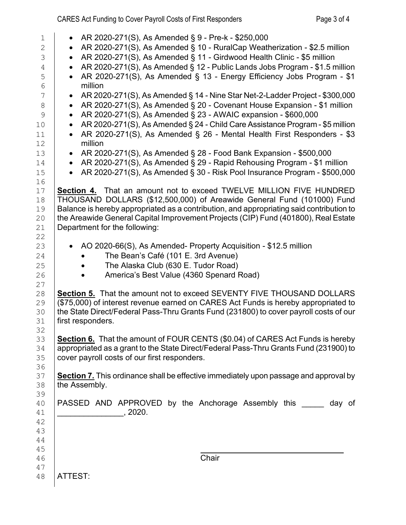# CARES Act Funding to Cover Payroll Costs of First Responders Page 3 of 4

| $\mathbf 1$    | AR 2020-271(S), As Amended § 9 - Pre-k - \$250,000                                             |  |  |  |
|----------------|------------------------------------------------------------------------------------------------|--|--|--|
| $\overline{2}$ | AR 2020-271(S), As Amended § 10 - RuralCap Weatherization - \$2.5 million<br>$\bullet$         |  |  |  |
| 3              | AR 2020-271(S), As Amended § 11 - Girdwood Health Clinic - \$5 million<br>$\bullet$            |  |  |  |
| 4              | AR 2020-271(S), As Amended § 12 - Public Lands Jobs Program - \$1.5 million<br>$\bullet$       |  |  |  |
|                | AR 2020-271(S), As Amended § 13 - Energy Efficiency Jobs Program - \$1<br>$\bullet$            |  |  |  |
| 5<br>6         | million                                                                                        |  |  |  |
| 7              | AR 2020-271(S), As Amended § 14 - Nine Star Net-2-Ladder Project - \$300,000<br>$\bullet$      |  |  |  |
| 8              | AR 2020-271(S), As Amended § 20 - Covenant House Expansion - \$1 million<br>$\bullet$          |  |  |  |
| 9              | AR 2020-271(S), As Amended § 23 - AWAIC expansion - \$600,000<br>$\bullet$                     |  |  |  |
| 10             | AR 2020-271(S), As Amended § 24 - Child Care Assistance Program - \$5 million<br>$\bullet$     |  |  |  |
|                |                                                                                                |  |  |  |
| 11<br>12       | AR 2020-271(S), As Amended § 26 - Mental Health First Responders - \$3<br>$\bullet$<br>million |  |  |  |
| 13             | AR 2020-271(S), As Amended § 28 - Food Bank Expansion - \$500,000<br>$\bullet$                 |  |  |  |
| 14             | AR 2020-271(S), As Amended § 29 - Rapid Rehousing Program - \$1 million<br>$\bullet$           |  |  |  |
| 15             | AR 2020-271(S), As Amended § 30 - Risk Pool Insurance Program - \$500,000<br>$\bullet$         |  |  |  |
| 16             |                                                                                                |  |  |  |
| 17             | Section 4. That an amount not to exceed TWELVE MILLION FIVE HUNDRED                            |  |  |  |
| 18             |                                                                                                |  |  |  |
|                | THOUSAND DOLLARS (\$12,500,000) of Areawide General Fund (101000) Fund                         |  |  |  |
| 19             | Balance is hereby appropriated as a contribution, and appropriating said contribution to       |  |  |  |
| 20             | the Areawide General Capital Improvement Projects (CIP) Fund (401800), Real Estate             |  |  |  |
| 21             | Department for the following:                                                                  |  |  |  |
| 22             |                                                                                                |  |  |  |
| 23             | AO 2020-66(S), As Amended- Property Acquisition - \$12.5 million                               |  |  |  |
| 24             | The Bean's Café (101 E. 3rd Avenue)                                                            |  |  |  |
| 25             | The Alaska Club (630 E. Tudor Road)                                                            |  |  |  |
| 26             | America's Best Value (4360 Spenard Road)                                                       |  |  |  |
| 27             |                                                                                                |  |  |  |
| 28             | <b>Section 5.</b> That the amount not to exceed SEVENTY FIVE THOUSAND DOLLARS                  |  |  |  |
| 29             | (\$75,000) of interest revenue earned on CARES Act Funds is hereby appropriated to             |  |  |  |
| 30             | the State Direct/Federal Pass-Thru Grants Fund (231800) to cover payroll costs of our          |  |  |  |
| 31             | first responders.                                                                              |  |  |  |
| 32             |                                                                                                |  |  |  |
| 33             | Section 6. That the amount of FOUR CENTS (\$0.04) of CARES Act Funds is hereby                 |  |  |  |
| 34             | appropriated as a grant to the State Direct/Federal Pass-Thru Grants Fund (231900) to          |  |  |  |
| 35             | cover payroll costs of our first responders.                                                   |  |  |  |
| 36             |                                                                                                |  |  |  |
| 37             | Section 7. This ordinance shall be effective immediately upon passage and approval by          |  |  |  |
| 38             | the Assembly.                                                                                  |  |  |  |
| 39             |                                                                                                |  |  |  |
| 40             | PASSED AND APPROVED by the Anchorage Assembly this<br>day of                                   |  |  |  |
| 41             |                                                                                                |  |  |  |
| 42             |                                                                                                |  |  |  |
| 43             |                                                                                                |  |  |  |
| 44             |                                                                                                |  |  |  |
| 45             |                                                                                                |  |  |  |
| 46             | Chair                                                                                          |  |  |  |
| 47             |                                                                                                |  |  |  |
|                |                                                                                                |  |  |  |
| 48             | ATTEST:                                                                                        |  |  |  |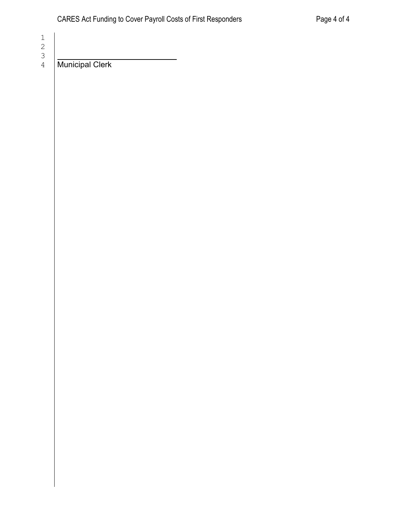Municipal Clerk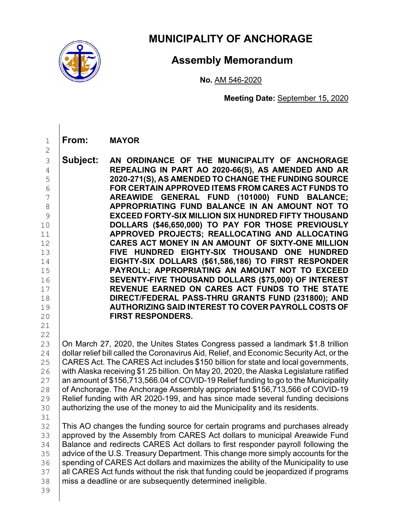

## **MUNICIPALITY OF ANCHORAGE**

### **Assembly Memorandum**

**No.** AM 546-2020

**Meeting Date:** September 15, 2020

1 **From: MAYOR**

- 3 **Subject: AN ORDINANCE OF THE MUNICIPALITY OF ANCHORAGE**  4 **REPEALING IN PART AO 2020-66(S), AS AMENDED AND AR**  5 **2020-271(S), AS AMENDED TO CHANGE THE FUNDING SOURCE**  6 **FOR CERTAIN APPROVED ITEMS FROM CARES ACT FUNDS TO**  7 **AREAWIDE GENERAL FUND (101000) FUND BALANCE;**  8 **APPROPRIATING FUND BALANCE IN AN AMOUNT NOT TO**  9 **EXCEED FORTY-SIX MILLION SIX HUNDRED FIFTY THOUSAND**  10 **DOLLARS (\$46,650,000) TO PAY FOR THOSE PREVIOUSLY**  11 **APPROVED PROJECTS; REALLOCATING AND ALLOCATING**  12 **CARES ACT MONEY IN AN AMOUNT OF SIXTY-ONE MILLION**  13 **FIVE HUNDRED EIGHTY-SIX THOUSAND ONE HUNDRED**  14 **EIGHTY-SIX DOLLARS (\$61,586,186) TO FIRST RESPONDER**  15 **PAYROLL; APPROPRIATING AN AMOUNT NOT TO EXCEED**  16 **SEVENTY-FIVE THOUSAND DOLLARS (\$75,000) OF INTEREST**  17 **REVENUE EARNED ON CARES ACT FUNDS TO THE STATE**  18 **DIRECT/FEDERAL PASS-THRU GRANTS FUND (231800); AND**  19 **AUTHORIZING SAID INTEREST TO COVER PAYROLL COSTS OF FIRST RESPONDERS.**
- 21

2

 $\begin{array}{c} 22 \\ 23 \end{array}$ 23 On March 27, 2020, the Unites States Congress passed a landmark \$1.8 trillion<br>24 dollar relief bill called the Coronavirus Aid. Relief. and Economic Security Act. or the 24 dollar relief bill called the Coronavirus Aid, Relief, and Economic Security Act, or the<br>25 CARES Act, The CARES Act includes \$150 billion for state and local governments. 25 CARES Act. The CARES Act includes \$150 billion for state and local governments,<br>26 with Alaska receiving \$1.25 billion. On May 20, 2020, the Alaska Legislature ratified 26 with Alaska receiving \$1.25 billion. On May 20, 2020, the Alaska Legislature ratified<br>27 an amount of \$156,713,566.04 of COVID-19 Relief funding to go to the Municipality 27 an amount of \$156,713,566.04 of COVID-19 Relief funding to go to the Municipality<br>28 of Anchorage. The Anchorage Assembly appropriated \$156.713.566 of COVID-19 28 of Anchorage. The Anchorage Assembly appropriated \$156,713,566 of COVID-19<br>29 Relief funding with AR 2020-199, and has since made several funding decisions 29 Relief funding with AR 2020-199, and has since made several funding decisions  $\frac{1}{20}$  authorizing the use of the monev to aid the Municipality and its residents. authorizing the use of the money to aid the Municipality and its residents.

31<br>32 32 This AO changes the funding source for certain programs and purchases already<br>33 approved by the Assembly from CARES Act dollars to municipal Areawide Fund 33 approved by the Assembly from CARES Act dollars to municipal Areawide Fund<br>34 Balance and redirects CARES Act dollars to first responder pavroll following the 34 Balance and redirects CARES Act dollars to first responder payroll following the<br>35 advice of the U.S. Treasury Department. This change more simply accounts for the 35 advice of the U.S. Treasury Department. This change more simply accounts for the 36 spending of CARES Act dollars and maximizes the ability of the Municipality to use 36 spending of CARES Act dollars and maximizes the ability of the Municipality to use<br>37 all CARES Act funds without the risk that funding could be jeopardized if programs 37 all CARES Act funds without the risk that funding could be jeopardized if programs<br>38 miss a deadline or are subsequently determined ineligible. miss a deadline or are subsequently determined ineligible.

39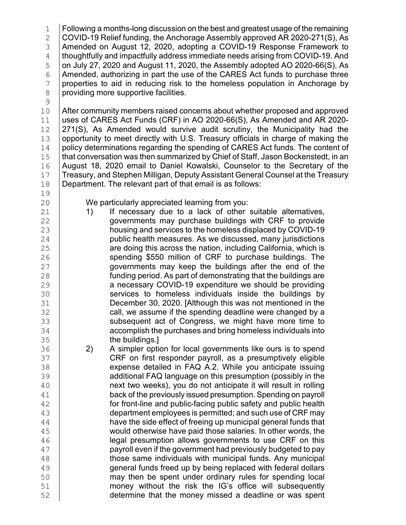1 Following a months-long discussion on the best and greatest usage of the remaining<br>2 COVID-19 Relief funding, the Anchorage Assembly approved AR 2020-271(S). As 2 COVID-19 Relief funding, the Anchorage Assembly approved AR 2020-271(S), As 3 Amended on August 12, 2020, adopting a COVID-19 Response Framework to<br>4 I thoughtfully and impactfully address immediate needs arising from COVID-19. And 4 thoughtfully and impactfully address immediate needs arising from COVID-19. And<br>5 on July 27, 2020 and August 11, 2020, the Assembly adopted AO 2020-66(S), As  $\frac{5}{6}$  on July 27, 2020 and August 11, 2020, the Assembly adopted AO 2020-66(S), As<br>6 Amended, authorizing in part the use of the CARES Act funds to purchase three 6 Amended, authorizing in part the use of the CARES Act funds to purchase three<br>7 properties to aid in reducing risk to the homeless population in Anchorage by 7 properties to aid in reducing risk to the homeless population in Anchorage by providing more supportive facilities. 8 providing more supportive facilities.

 $\begin{array}{c} 9 \\ 10 \end{array}$ 

19<br>20

10 After community members raised concerns about whether proposed and approved<br>11 uses of CARES Act Funds (CRF) in AO 2020-66(S), As Amended and AR 2020-11 uses of CARES Act Funds (CRF) in AO 2020-66(S), As Amended and AR 2020-<br>12 271(S). As Amended would survive audit scrutiny, the Municipality had the 12  $\vert$  271(S), As Amended would survive audit scrutiny, the Municipality had the 13 opportunity to meet directly with U.S. Treasury officials in charge of making the 13 opportunity to meet directly with U.S. Treasury officials in charge of making the 14 policy determinations regarding the spending of CARES Act funds. The content of 14 | policy determinations regarding the spending of CARES Act funds. The content of <br>15 | that conversation was then summarized by Chief of Staff, Jason Bockenstedt, in an 15 that conversation was then summarized by Chief of Staff, Jason Bockenstedt, in an<br>16 August 18, 2020 email to Daniel Kowalski. Counselor to the Secretary of the 16 August 18, 2020 email to Daniel Kowalski, Counselor to the Secretary of the 17 Treasury, and Stephen Milligan, Deputy Assistant General Counsel at the Treasury 17 Treasury, and Stephen Milligan, Deputy Assistant General Counsel at the Treasury<br>18 Department. The relevant part of that email is as follows: Department. The relevant part of that email is as follows:

- 20 We particularly appreciated learning from you:<br>21 1) If necessary due to a lack of other 21 1) If necessary due to a lack of other suitable alternatives,<br>22 **1** 000 diagometry purchase buildings with CRF to provide 22 governments may purchase buildings with CRF to provide<br>23 housing and services to the homeless displaced by COVID-19 23 housing and services to the homeless displaced by COVID-19<br>24 public health measures. As we discussed, many jurisdictions 24 public health measures. As we discussed, many jurisdictions<br>25 **parameters** are doing this across the nation, including California, which is 25 are doing this across the nation, including California, which is<br>26 spending \$550 million of CRF to purchase buildings. The 26 Spending \$550 million of CRF to purchase buildings. The 27 spending \$550 million of CRF to purchase buildings. The 27 governments may keep the buildings after the end of the<br>28 funding period. As part of demonstrating that the buildings are 28 **funding period. As part of demonstrating that the buildings are**<br>29 **a necessary COVID-19 expenditure we should be providing** 29 a necessary COVID-19 expenditure we should be providing<br>30 services to homeless individuals inside the buildings by 30 services to homeless individuals inside the buildings by<br>31 December 30, 2020. [Although this was not mentioned in the 31 December 30, 2020. [Although this was not mentioned in the<br>32 call, we assume if the spending deadline were changed by a 32 call, we assume if the spending deadline were changed by a<br>33 subsequent act of Congress, we might have more time to 33 subsequent act of Congress, we might have more time to<br>34 accomplish the purchases and bring homeless individuals into 34 accomplish the purchases and bring homeless individuals into<br>35 the buildings.]
- 35 the buildings.]<br>36 2) A simpler optic 36 2) A simpler option for local governments like ours is to spend<br>37 CRF on first responder payroll, as a presumptively eligible 37 CRF on first responder payroll, as a presumptively eligible<br>38 expense detailed in FAQ A.2. While you anticipate issuing 38 expense detailed in FAQ A.2. While you anticipate issuing<br>39 additional FAQ language on this presumption (possibly in the 39 additional FAQ language on this presumption (possibly in the 40<br>40 **hext two weeks), you do not anticipate it will result in rolling** 40 **next two weeks), you do not anticipate it will result in rolling**<br>41 **hack of the previously issued presumption. Spending on payroll** 41 back of the previously issued presumption. Spending on payroll<br>42 for front-line and public-facing public safety and public health 42 for front-line and public-facing public safety and public health<br>43 department emplovees is permitted: and such use of CRF may 43 department employees is permitted; and such use of CRF may<br>44 have the side effect of freeing up municipal general funds that 44 have the side effect of freeing up municipal general funds that<br>45 **have paid those salaries. In other words, the** 45 would otherwise have paid those salaries. In other words, the<br>46 legal presumption allows governments to use CRF on this 46 legal presumption allows governments to use CRF on this<br>47 letter of the government had previously budgeted to pay 47 **payroll even if the government had previously budgeted to pay**<br>48 **hose same individuals with municipal funds. Any municipal** 48 those same individuals with municipal funds. Any municipal<br>49 deneral funds freed up by being replaced with federal dollars 49 general funds freed up by being replaced with federal dollars<br>50 may then be spent under ordinary rules for spending local 50 may then be spent under ordinary rules for spending local<br>51 money without the risk the IG's office will subsequently 51 money without the risk the IG's office will subsequently<br>52 determine that the money missed a deadline or was spent determine that the money missed a deadline or was spent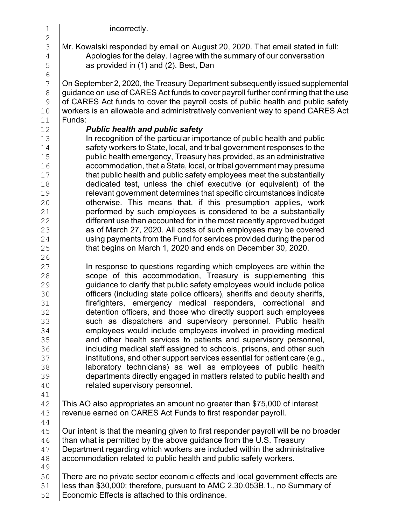| $\mathbf 1$                                                                            | incorrectly.                                                                                                                                                                                                                                                                                                                                                                                                                                                                                                                                                                                                                                                                                                                                                                                                                                                                                                                                                                             |
|----------------------------------------------------------------------------------------|------------------------------------------------------------------------------------------------------------------------------------------------------------------------------------------------------------------------------------------------------------------------------------------------------------------------------------------------------------------------------------------------------------------------------------------------------------------------------------------------------------------------------------------------------------------------------------------------------------------------------------------------------------------------------------------------------------------------------------------------------------------------------------------------------------------------------------------------------------------------------------------------------------------------------------------------------------------------------------------|
| $\overline{2}$<br>3<br>$\overline{4}$<br>5<br>$\sqrt{6}$                               | Mr. Kowalski responded by email on August 20, 2020. That email stated in full:<br>Apologies for the delay. I agree with the summary of our conversation<br>as provided in (1) and (2). Best, Dan                                                                                                                                                                                                                                                                                                                                                                                                                                                                                                                                                                                                                                                                                                                                                                                         |
| 7<br>$\,8\,$<br>$\mathsf 9$<br>10<br>11                                                | On September 2, 2020, the Treasury Department subsequently issued supplemental<br>guidance on use of CARES Act funds to cover payroll further confirming that the use<br>of CARES Act funds to cover the payroll costs of public health and public safety<br>workers is an allowable and administratively convenient way to spend CARES Act<br>Funds:                                                                                                                                                                                                                                                                                                                                                                                                                                                                                                                                                                                                                                    |
| 12<br>13<br>14<br>15<br>16<br>17<br>18<br>19<br>20<br>21<br>22<br>23<br>24<br>25       | <b>Public health and public safety</b><br>In recognition of the particular importance of public health and public<br>safety workers to State, local, and tribal government responses to the<br>public health emergency, Treasury has provided, as an administrative<br>accommodation, that a State, local, or tribal government may presume<br>that public health and public safety employees meet the substantially<br>dedicated test, unless the chief executive (or equivalent) of the<br>relevant government determines that specific circumstances indicate<br>otherwise. This means that, if this presumption applies, work<br>performed by such employees is considered to be a substantially<br>different use than accounted for in the most recently approved budget<br>as of March 27, 2020. All costs of such employees may be covered<br>using payments from the Fund for services provided during the period<br>that begins on March 1, 2020 and ends on December 30, 2020. |
| 26<br>27<br>28<br>29<br>30<br>31<br>32<br>33<br>34<br>35<br>36<br>37<br>38<br>39<br>40 | In response to questions regarding which employees are within the<br>scope of this accommodation, Treasury is supplementing this<br>guidance to clarify that public safety employees would include police<br>officers (including state police officers), sheriffs and deputy sheriffs,<br>firefighters, emergency medical responders, correctional and<br>detention officers, and those who directly support such employees<br>such as dispatchers and supervisory personnel. Public health<br>employees would include employees involved in providing medical<br>and other health services to patients and supervisory personnel,<br>including medical staff assigned to schools, prisons, and other such<br>institutions, and other support services essential for patient care (e.g.,<br>laboratory technicians) as well as employees of public health<br>departments directly engaged in matters related to public health and<br>related supervisory personnel.                      |
| 41<br>42<br>43<br>44                                                                   | This AO also appropriates an amount no greater than \$75,000 of interest<br>revenue earned on CARES Act Funds to first responder payroll.                                                                                                                                                                                                                                                                                                                                                                                                                                                                                                                                                                                                                                                                                                                                                                                                                                                |
| 45<br>46<br>47<br>48<br>49                                                             | Our intent is that the meaning given to first responder payroll will be no broader<br>than what is permitted by the above guidance from the U.S. Treasury<br>Department regarding which workers are included within the administrative<br>accommodation related to public health and public safety workers.                                                                                                                                                                                                                                                                                                                                                                                                                                                                                                                                                                                                                                                                              |
| 50<br>51<br>52                                                                         | There are no private sector economic effects and local government effects are<br>less than \$30,000; therefore, pursuant to AMC 2.30.053B.1., no Summary of<br>Economic Effects is attached to this ordinance.                                                                                                                                                                                                                                                                                                                                                                                                                                                                                                                                                                                                                                                                                                                                                                           |